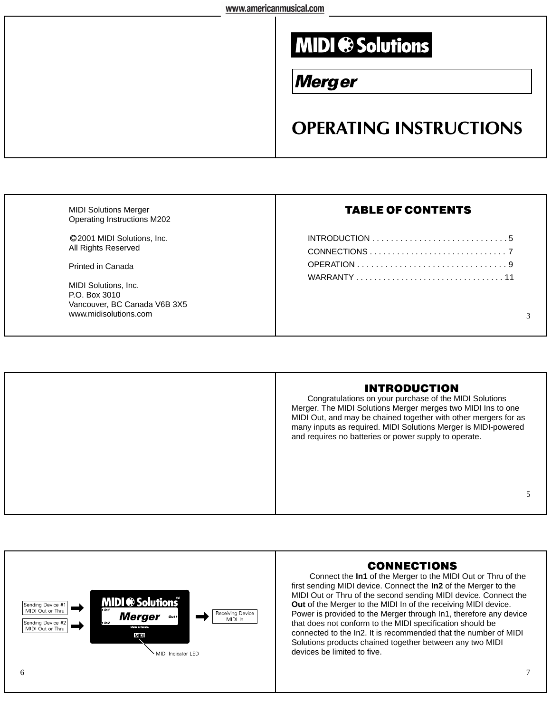## **MIDI ® Solutions**

## **Merger**

## **OPERATING INSTRUCTIONS**

| <b>MIDI Solutions Merger</b><br>Operating Instructions M202            | <b>TABLE OF CONTENTS</b> |
|------------------------------------------------------------------------|--------------------------|
| ©2001 MIDI Solutions, Inc.<br>All Rights Reserved                      |                          |
| Printed in Canada<br><b>MIDI Solutions, Inc.</b>                       |                          |
| P.O. Box 3010<br>Vancouver, BC Canada V6B 3X5<br>www.midisolutions.com |                          |
|                                                                        |                          |